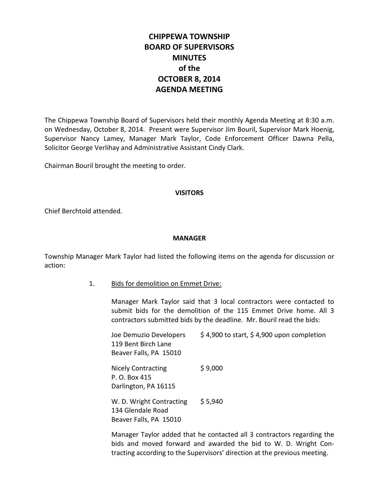# **CHIPPEWA TOWNSHIP BOARD OF SUPERVISORS MINUTES of the OCTOBER 8, 2014 AGENDA MEETING**

The Chippewa Township Board of Supervisors held their monthly Agenda Meeting at 8:30 a.m. on Wednesday, October 8, 2014. Present were Supervisor Jim Bouril, Supervisor Mark Hoenig, Supervisor Nancy Lamey, Manager Mark Taylor, Code Enforcement Officer Dawna Pella, Solicitor George Verlihay and Administrative Assistant Cindy Clark.

Chairman Bouril brought the meeting to order.

#### **VISITORS**

Chief Berchtold attended.

### **MANAGER**

Township Manager Mark Taylor had listed the following items on the agenda for discussion or action:

1. Bids for demolition on Emmet Drive:

Manager Mark Taylor said that 3 local contractors were contacted to submit bids for the demolition of the 115 Emmet Drive home. All 3 contractors submitted bids by the deadline. Mr. Bouril read the bids:

Joe Demuzio Developers  $\frac{1}{2}$  \$ 4,900 to start, \$ 4,900 upon completion 119 Bent Birch Lane Beaver Falls, PA 15010 Nicely Contracting \$9,000 P. O. Box 415 Darlington, PA 16115 W. D. Wright Contracting \$5,940 134 Glendale Road Beaver Falls, PA 15010

Manager Taylor added that he contacted all 3 contractors regarding the bids and moved forward and awarded the bid to W. D. Wright Contracting according to the Supervisors' direction at the previous meeting.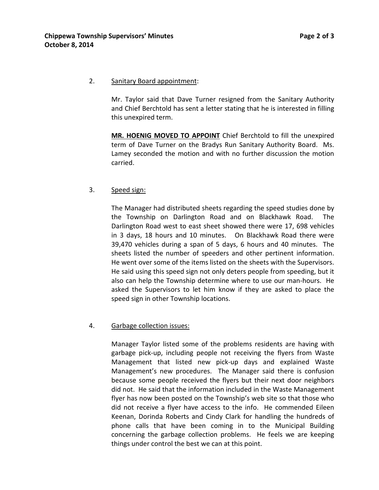### 2. Sanitary Board appointment:

Mr. Taylor said that Dave Turner resigned from the Sanitary Authority and Chief Berchtold has sent a letter stating that he is interested in filling this unexpired term.

**MR. HOENIG MOVED TO APPOINT** Chief Berchtold to fill the unexpired term of Dave Turner on the Bradys Run Sanitary Authority Board. Ms. Lamey seconded the motion and with no further discussion the motion carried.

## 3. Speed sign:

The Manager had distributed sheets regarding the speed studies done by the Township on Darlington Road and on Blackhawk Road. The Darlington Road west to east sheet showed there were 17, 698 vehicles in 3 days, 18 hours and 10 minutes. On Blackhawk Road there were 39,470 vehicles during a span of 5 days, 6 hours and 40 minutes. The sheets listed the number of speeders and other pertinent information. He went over some of the items listed on the sheets with the Supervisors. He said using this speed sign not only deters people from speeding, but it also can help the Township determine where to use our man-hours. He asked the Supervisors to let him know if they are asked to place the speed sign in other Township locations.

## 4. Garbage collection issues:

Manager Taylor listed some of the problems residents are having with garbage pick-up, including people not receiving the flyers from Waste Management that listed new pick-up days and explained Waste Management's new procedures. The Manager said there is confusion because some people received the flyers but their next door neighbors did not. He said that the information included in the Waste Management flyer has now been posted on the Township's web site so that those who did not receive a flyer have access to the info. He commended Eileen Keenan, Dorinda Roberts and Cindy Clark for handling the hundreds of phone calls that have been coming in to the Municipal Building concerning the garbage collection problems. He feels we are keeping things under control the best we can at this point.